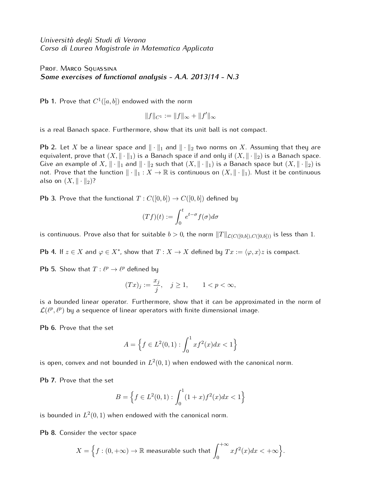*Universit`a degli Studi di Verona Corso di Laurea Magistrale in Matematica Applicata*

PROF. MARCO SQUASSINA *Some exercises of functional analysis - A.A. 2013/14 - N.3*

**Pb 1.** Prove that  $C^1([a, b])$  endowed with the norm

$$
||f||_{C^1} := ||f||_{\infty} + ||f'||_{\infty}
$$

is a real Banach space. Furthermore, show that its unit ball is not compact.

**Pb 2.** Let *X* be a linear space and *∥ · ∥*<sup>1</sup> and *∥ · ∥*<sup>2</sup> two norms on *X*. Assuming that they are equivalent, prove that  $(X, \|\cdot\|_1)$  is a Banach space if and only if  $(X, \|\cdot\|_2)$  is a Banach space. Give an example of X,  $\|\cdot\|_1$  and  $\|\cdot\|_2$  such that  $(X, \|\cdot\|_1)$  is a Banach space but  $(X, \|\cdot\|_2)$  is not. Prove that the function *∥ · ∥*<sup>1</sup> : *X →* R is continuous on (*X, ∥ · ∥*1). Must it be continuous also on  $(X, \|\cdot\|_2)$ ?

**Pb 3.** Prove that the functional  $T : C([0, b]) \to C([0, b])$  defined by

$$
(Tf)(t) := \int_0^t e^{t-\sigma} f(\sigma) d\sigma
$$

is continuous. Prove also that for suitable  $b > 0$ , the norm  $||T||_{\mathcal{L}(C([0,b]))}$  is less than 1.

**Pb 4.** If  $z \in X$  and  $\varphi \in X^*$ , show that  $T : X \to X$  defined by  $Tx := \langle \varphi, x \rangle z$  is compact.

**Pb 5.** Show that  $T: \ell^p \to \ell^p$  defined by

$$
(Tx)_j:=\frac{x_j}{j},\quad j\geq 1,\qquad 1
$$

is a bounded linear operator. Furthermore, show that it can be approximated in the norm of  $\mathcal{L}(\ell^p,\ell^p)$  by a sequence of linear operators with finite dimensional image.

**Pb 6.** Prove that the set

$$
A = \left\{ f \in L^2(0,1) : \int_0^1 x f^2(x) dx < 1 \right\}
$$

is open, convex and not bounded in  $L^2(0,1)$  when endowed with the canonical norm.

**Pb 7.** Prove that the set

$$
B = \left\{ f \in L^2(0,1) : \int_0^1 (1+x)f^2(x)dx < 1 \right\}
$$

is bounded in  $L^2(0,1)$  when endowed with the canonical norm.

**Pb 8.** Consider the vector space

$$
X = \Big\{ f : (0, +\infty) \to \mathbb{R} \text{ measurable such that } \int_0^{+\infty} x f^2(x) dx < +\infty \Big\}.
$$